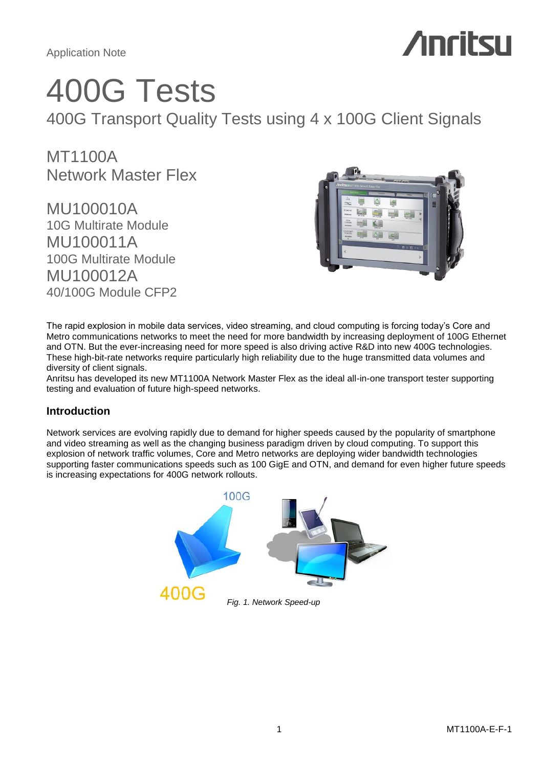

# 400G Tests

400G Transport Quality Tests using 4 x 100G Client Signals

MT1100A Network Master Flex

MU100010A 10G Multirate Module MU100011A 100G Multirate Module MU100012A 40/100G Module CFP2



The rapid explosion in mobile data services, video streaming, and cloud computing is forcing today's Core and Metro communications networks to meet the need for more bandwidth by increasing deployment of 100G Ethernet and OTN. But the ever-increasing need for more speed is also driving active R&D into new 400G technologies. These high-bit-rate networks require particularly high reliability due to the huge transmitted data volumes and diversity of client signals.

Anritsu has developed its new MT1100A Network Master Flex as the ideal all-in-one transport tester supporting testing and evaluation of future high-speed networks.

# **Introduction**

Network services are evolving rapidly due to demand for higher speeds caused by the popularity of smartphone and video streaming as well as the changing business paradigm driven by cloud computing. To support this explosion of network traffic volumes, Core and Metro networks are deploying wider bandwidth technologies supporting faster communications speeds such as 100 GigE and OTN, and demand for even higher future speeds is increasing expectations for 400G network rollouts.

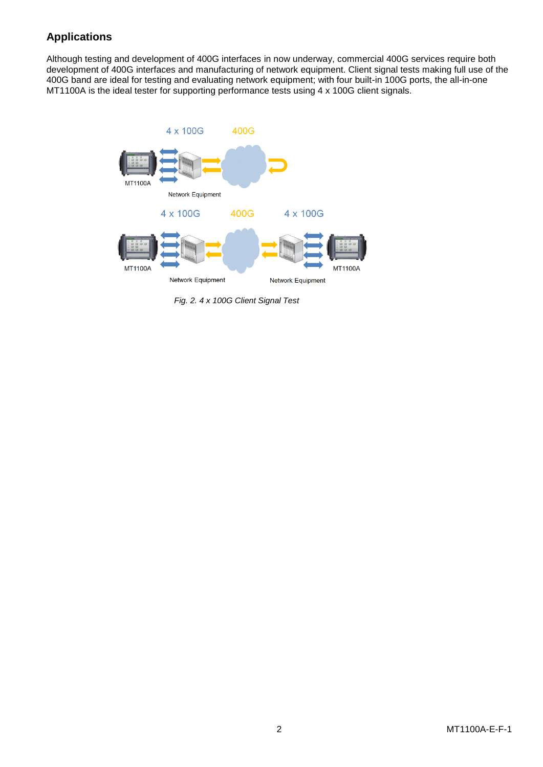# **Applications**

Although testing and development of 400G interfaces in now underway, commercial 400G services require both development of 400G interfaces and manufacturing of network equipment. Client signal tests making full use of the 400G band are ideal for testing and evaluating network equipment; with four built-in 100G ports, the all-in-one MT1100A is the ideal tester for supporting performance tests using 4 x 100G client signals.



*Fig. 2. 4 x 100G Client Signal Test*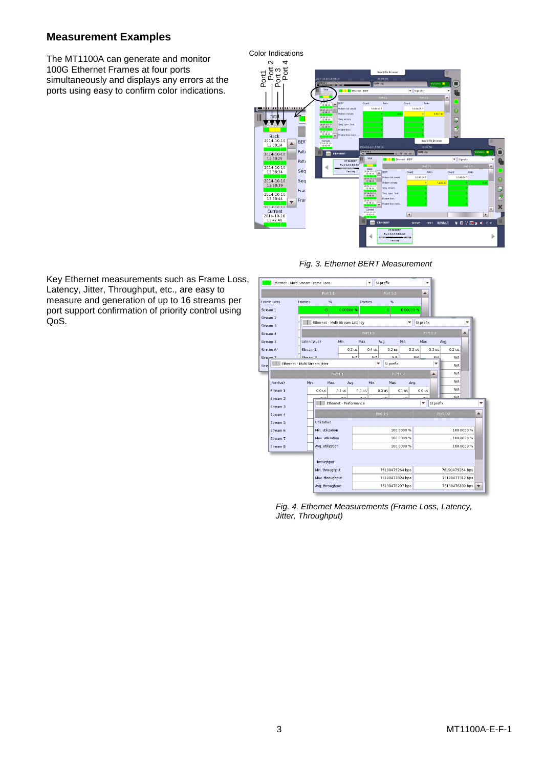# **Measurement Examples**

The MT1100A can generate and monitor 100G Ethernet Frames at four ports simultaneously and displays any errors at the ports using easy to confirm color indications.



*Fig. 3. Ethernet BERT Measurement*

Key Ethernet measurements such as Frame Loss, Latency, Jitter, Throughput, etc., are easy to measure and generation of up to 16 streams per port support confirmation of priority control using QoS.



*Fig. 4. Ethernet Measurements (Frame Loss, Latency, Jitter, Throughput)*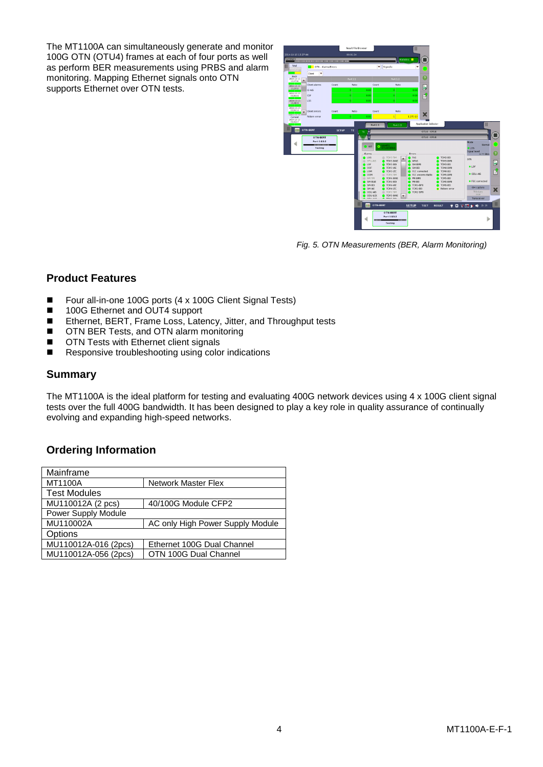The MT1100A can simultaneously generate and monitor 100G OTN (OTU4) frames at each of four ports as well as perform BER measurements using PRBS and alarm monitoring. Mapping Ethernet signals onto OTN supports Ethernet over OTN tests.



*Fig. 5. OTN Measurements (BER, Alarm Monitoring)*

# **Product Features**

- Four all-in-one 100G ports (4 x 100G Client Signal Tests)
- 100G Ethernet and OUT4 support
- Ethernet, BERT, Frame Loss, Latency, Jitter, and Throughput tests
- OTN BER Tests, and OTN alarm monitoring
- **OTN Tests with Ethernet client signals**
- Responsive troubleshooting using color indications

# **Summary**

The MT1100A is the ideal platform for testing and evaluating 400G network devices using 4 x 100G client signal tests over the full 400G bandwidth. It has been designed to play a key role in quality assurance of continually evolving and expanding high-speed networks.

# **Ordering Information**

| Mainframe            |                                  |
|----------------------|----------------------------------|
| <b>MT1100A</b>       | <b>Network Master Flex</b>       |
| <b>Test Modules</b>  |                                  |
| MU110012A (2 pcs)    | 40/100G Module CFP2              |
| Power Supply Module  |                                  |
| MU110002A            | AC only High Power Supply Module |
| Options              |                                  |
| MU110012A-016 (2pcs) | Ethernet 100G Dual Channel       |
| MU110012A-056 (2pcs) | OTN 100G Dual Channel            |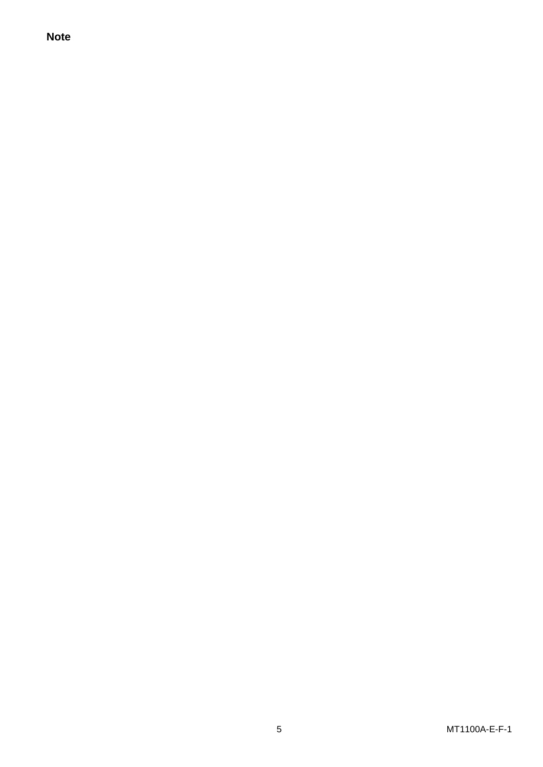**Note**